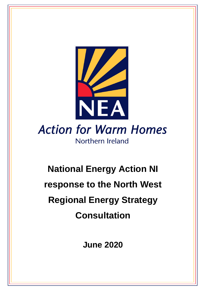

Northern Ireland

# **National Energy Action NI response to the North West Regional Energy Strategy Consultation**

**June 2020**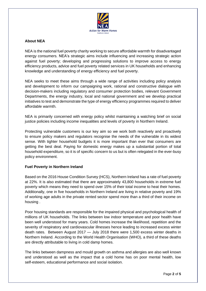

#### **About NEA**

NEA is the national fuel poverty charity working to secure affordable warmth for disadvantaged energy consumers. NEA's strategic aims include influencing and increasing strategic action against fuel poverty; developing and progressing solutions to improve access to energy efficiency products, advice and fuel poverty related services in UK households and enhancing knowledge and understanding of energy efficiency and fuel poverty.

NEA seeks to meet these aims through a wide range of activities including policy analysis and development to inform our campaigning work, rational and constructive dialogue with decision-makers including regulatory and consumer protection bodies, relevant Government Departments, the energy industry, local and national government and we develop practical initiatives to test and demonstrate the type of energy efficiency programmes required to deliver affordable warmth.

NEA is primarily concerned with energy policy whilst maintaining a watching brief on social justice policies including income inequalities and levels of poverty in Northern Ireland.

Protecting vulnerable customers is our key aim so we work both reactively and proactively to ensure policy makers and regulators recognise the needs of the vulnerable in its widest sense. With tighter household budgets it is more important than ever that consumers are getting the best deal. Paying for domestic energy makes up a substantial portion of total household expenditure, so it is of specific concern to us but is often relegated in the ever-busy policy environment.

#### **Fuel Poverty in Northern Ireland**

Based on the 2016 House Condition Survey (HCS), Northern Ireland has a rate of fuel poverty at 22%. It is also estimated that there are approximately 43,800 households in extreme fuel poverty which means they need to spend over 15% of their total income to heat their homes. Additionally, one in five households in Northern Ireland are living in relative poverty and 19% of working age adults in the private rented sector spend more than a third of their income on housing .

Poor housing standards are responsible for the impaired physical and psychological health of millions of UK households. The links between low indoor temperature and poor health have been well understood for many years. Cold homes increase the likelihood, repetition and the severity of respiratory and cardiovascular illnesses hence leading to increased excess winter death rates. Between August 2017 — July 2018 there were 1,500 excess winter deaths in Northern Ireland. According to the World Health Organisation (WHO), a third of these deaths are directly attributable to living in cold damp homes.

The links between dampness and mould growth on asthma and allergies are also well known and understood as well as the impact that a cold home has on poor mental health, low self-esteem, educational performance and social isolation.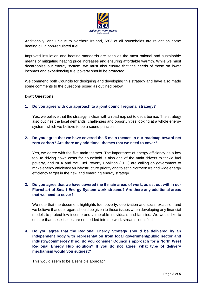

Additionally, and unique to Northern Ireland, 68% of all households are reliant on home heating oil, a non-regulated fuel.

Improved insulation and heating standards are seen as the most rational and sustainable means of mitigating heating price increases and ensuring affordable warmth. While we must decarbonise our energy system, we must also ensure that the needs of those on lower incomes and experiencing fuel poverty should be protected.

We commend both Councils for designing and developing this strategy and have also made some comments to the questions posed as outlined below.

#### **Draft Questions:**

#### **1. Do you agree with our approach to a joint council regional strategy?**

Yes, we believe that the strategy is clear with a roadmap set to decarbonise. The strategy also outlines the local demands, challenges and opportunities looking at a whole energy system, which we believe to be a sound principle.

#### **2. Do you agree that we have covered the 5 main themes in our roadmap toward net zero carbon? Are there any additional themes that we need to cover?**

Yes, we agree with the five main themes. The importance of energy efficiency as a key tool to driving down costs for household is also one of the main drivers to tackle fuel poverty, and NEA and the Fuel Poverty Coalition (FPC) are calling on government to make energy efficiency an infrastructure priority and to set a Northern Ireland wide energy efficiency target in the new and emerging energy strategy.

#### **3. Do you agree that we have covered the 9 main areas of work, as set out within our Flowchart of Smart Energy System work streams? Are there any additional areas that we need to cover?**

We note that the document highlights fuel poverty, deprivation and social exclusion and we believe that due regard should be given to these issues when developing any financial models to protect low income and vulnerable individuals and families. We would like to ensure that these issues are embedded into the work streams identified.

# **4. Do you agree that the Regional Energy Strategy should be delivered by an independent body with representation from local government/public sector and industry/commerce? If so, do you consider Council's approach for a North West Regional Energy Hub solution? If you do not agree, what type of delivery mechanism would you suggest?**

This would seem to be a sensible approach.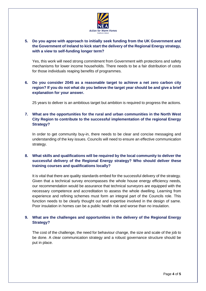

# **5. Do you agree with approach to initially seek funding from the UK Government and the Government of Ireland to kick start the delivery of the Regional Energy strategy, with a view to self-funding longer term?**

Yes, this work will need strong commitment from Government with protections and safety mechanisms for lower income households. There needs to be a fair distribution of costs for those individuals reaping benefits of programmes.

## **6. Do you consider 2045 as a reasonable target to achieve a net zero carbon city region? If you do not what do you believe the target year should be and give a brief explanation for your answer.**

25 years to deliver is an ambitious target but ambition is required to progress the actions.

## **7. What are the opportunities for the rural and urban communities in the North West City Region to contribute to the successful implementation of the regional Energy Strategy?**

In order to get community buy-in, there needs to be clear and concise messaging and understanding of the key issues. Councils will need to ensure an effective communication strategy.

# **8. What skills and qualifications will be required by the local community to deliver the successful delivery of the Regional Energy strategy? Who should deliver these training courses and qualifications locally?**

It is vital that there are quality standards embed for the successful delivery of the strategy. Given that a technical survey encompasses the whole house energy efficiency needs, our recommendation would be assurance that technical surveyors are equipped with the necessary competence and accreditation to assess the whole dwelling. Learning from experience and refining schemes must form an integral part of the Councils role. This function needs to be clearly thought out and expertise involved in the design of same. Poor insulation in homes can be a public health risk and worse than no insulation.

# **9. What are the challenges and opportunities in the delivery of the Regional Energy Strategy?**

The cost of the challenge, the need for behaviour change, the size and scale of the job to be done. A clear communication strategy and a robust governance structure should be put in place.